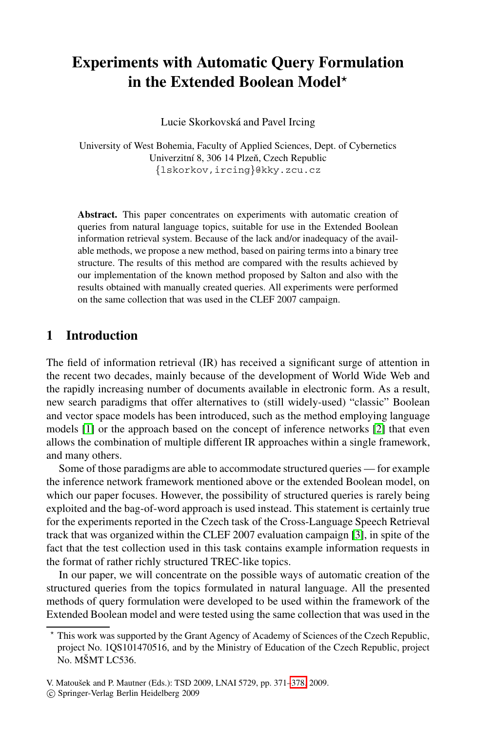# **Experiments with Automatic Query Formulation in the Extended Boolean Model***-*

Lucie Skorkovská and Pavel Ircing

University of West Bohemia, Faculty of Applied Sciences, Dept. of Cybernetics Univerzitní 8, 306 14 Plzeň, Czech Republic *{*lskorkov,ircing*}*@kky.zcu.cz

**Abstract.** This paper concentrates on experiments with automatic creation of queries from natural language topics, suitable for use in the Extended Boolean information retrieval system. Because of the lack and/or inadequacy of the available methods, we propose a new method, based on pairing terms into a binary tree structure. The results of this method are compared with the results achieved by our implementation of the known method proposed by Salton and also with the results obtained with manually created queries. All experiments were performed on the same collection that was used in the CLEF 2007 campaign.

### **1 Introduction**

The field of information retrieval (IR) has received a significant surge of attention in the recent two decades, mainly because of the development of World Wide Web and the rapidly increasing number of documents available in electronic form. As a result, new search paradigms that offer alternatives to (still widely-used) "classic" Boolean and vector space models has been introduced, such as the method employing language models [1] or the approach based on the conce[pt](#page-7-0) of inference networks [2] that even allows the combination of multiple different IR approaches within a single framework, and many others.

Some of those paradigms are able to accommodate structured queries — for example the inference network framework mentioned above or the extended Boolean model, on which our paper focuses. However, the possibility of structured queries is rarely being exploited and the bag-of-word approach is used instead. This statement is certainly true for the experiments reported in the Czech task of the Cross-Language Speech Retrieval track that was organized within the CLEF 2007 evaluation campaign [3], in spite of the fact that the test collection used in this task contains example information requests in the format of rather richly structured TREC-like topics.

In our paper, we will concentra[te o](#page-7-1)n the possible ways of automatic creation of the structured queries from the topics formulated in natural language. All the presented methods of query formulation were developed to be used within the framework of the Extended Boolean model and were tested using the same collection that was used in the

<sup>-</sup> This work was supported by the Grant Agency of Academy of Sciences of the Czech Republic, project No. 1QS101470516, and by the Ministry of Education of the Czech Republic, project No. MŠMT LC536.

V. Matouˇsek and P. Mautner (Eds.): TSD 2009, LNAI 5729, pp. 371–378, 2009.

<sup>-</sup>c Springer-Verlag Berlin Heidelberg 2009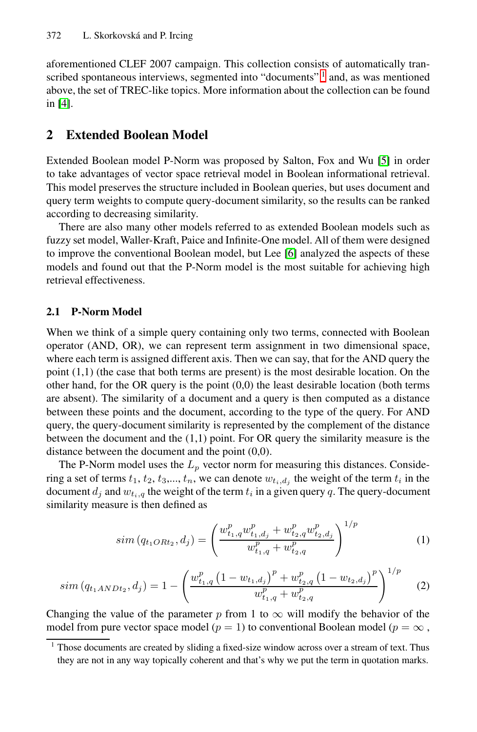#### 372 L. Skorkovská and P. Ircing

aforementioned CLEF 2007 campaign. This collectio[n](#page-7-2) [c](#page-7-2)onsists of automatically transcribed spontaneous interviews, segmented into "documents" 1 and, as was mentioned above, the set of TREC-like topics. More information about the collection can be found in [4].

### **2 Extended Boolean Model**

Extended Boolean model P-Nor[m](#page-7-3) [w](#page-7-3)as proposed by Salton, Fox and Wu [5] in order to take advantages of vector space retrieval model in Boolean informational retrieval. This model preserves the structure included in Boolean queries, but uses document and query term weights to compute query-document similarity, so the results can be ranked according to decreasing similarity.

There are also many other models referred to as extended Boolean models such as fuzzy set model, Waller-Kraft, Paice and Infinite-One model. All of them were designed to improve the conventional Boolean model, but Lee [6] analyzed the aspects of these models and found out that the P-Norm model is the most suitable for achieving high retrieval effectiveness.

#### **2.1 P-Norm Model**

When we think of a simple query containing only two terms, connected with Boolean operator (AND, OR), we can represent term assignment in two dimensional space, where each term is assigned different axis. Then we can say, that for the AND query the point (1,1) (the case that both terms are present) is the most desirable location. On the other hand, for the OR query is the point  $(0,0)$  the least desirable location (both terms are absent). The similarity of a document and a query is then computed as a distance between these points and the document, according to the type of the query. For AND query, the query-document similarity is represented by the complement of the distance between the document and the  $(1,1)$  point. For OR query the similarity measure is the distance between the document and the point (0,0).

The P-Norm model uses the  $L_p$  vector norm for measuring this distances. Considering a set of terms  $t_1, t_2, t_3, \ldots, t_n$ , we can denote  $w_{t_i, d_i}$  the weight of the term  $t_i$  in the document  $d_j$  and  $w_{t_i,q}$  the weight of the term  $t_i$  in a given query  $q$ . The query-document similarity measure is then defined as

$$
sim (q_{t_1ORt_2}, d_j) = \left(\frac{w_{t_1,q}^p w_{t_1,d_j}^p + w_{t_2,q}^p w_{t_2,d_j}^p}{w_{t_1,q}^p + w_{t_2,q}^p}\right)^{1/p}
$$
(1)

$$
sim(q_{t_1ANDt_2}, d_j) = 1 - \left(\frac{w_{t_1,q}^p \left(1 - w_{t_1,d_j}\right)^p + w_{t_2,q}^p \left(1 - w_{t_2,d_j}\right)^p}{w_{t_1,q}^p + w_{t_2,q}^p}\right)^{1/p} \tag{2}
$$

Changing the value of the parameter *p* from 1 to  $\infty$  will modify the behavior of the model from pure vector space model ( $p = 1$ ) to conventional Boolean model ( $p = \infty$ ,

 $<sup>1</sup>$  Those documents are created by sliding a fixed-size window across over a stream of text. Thus</sup> they are not in any way topically coherent and that's why we put the term in quotation marks.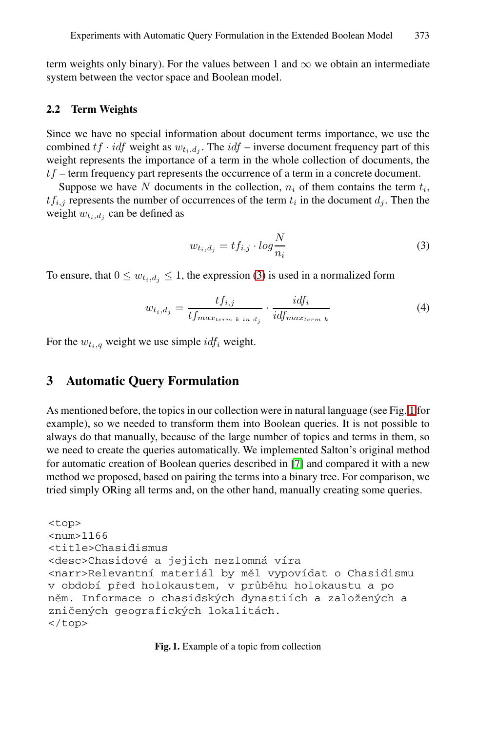<span id="page-2-1"></span>term weights only binary). For the values between 1 and  $\infty$  we obtain an intermediate system between the vector space and Boolean model.

#### **2.2 Term Weights**

<span id="page-2-0"></span>Since we have no special information about document terms importance, we use the combined  $tf \cdot idf$  weight as  $w_{t_i, d_j}$ . The  $idf$  – inverse document frequency part of this weight represents the importance of a term in the whole collection of documents, the *tf* – term frequency part r[ep](#page-2-0)resents the occurrence of a term in a concrete document.

Suppose we have *N* documents in the collection,  $n_i$  of them contains the term  $t_i$ ,  $tf_{i,j}$  represents the number of occurrences of the term  $t_i$  in the document  $d_j$ . Then the weight  $w_{t_i,d_i}$  can be defined as

$$
w_{t_i,d_j} = tf_{i,j} \cdot \log \frac{N}{n_i} \tag{3}
$$

To ensure, that  $0 \leq w_{t_i,d_i} \leq 1$ , the expression (3) is used in a normalized form

$$
w_{t_i,d_j} = \frac{tf_{i,j}}{tf_{max_{term\ k \ in\ d_j}}} \cdot \frac{idf_i}{idf_{max_{term\ k}}}
$$
(4)

For the  $w_{t_i,q}$  weight we use simple  $\text{id}f_i$  weight.

## **3 Automatic Query Formulation**

As mentioned before, the topics in our collection were in natural language (see Fig. 1 for example), so we needed to transform them into Boolean queries. It is not possible to always do that manually, because of the large number of topics and terms in them, so we need to create the queries automatically. We implemented Salton's original method for automatic creation of Boolean queries described in [7] and compared it with a new method we proposed, based on pairing the terms into a binary tree. For comparison, we tried simply ORing all terms and, on the other hand, manually creating some queries.

```
<top>
<num>1166
<title>Chasidismus
<desc>Chasidové a jejich nezlomná víra
<narr>Relevantní materiál by měl vypovídat o Chasidismu
v období před holokaustem, v průběhu holokaustu a po
něm. Informace o chasidských dynastiích a založených a
zničených geografických lokalitách.
</top>
```
**Fig. 1.** Example of a topic from collection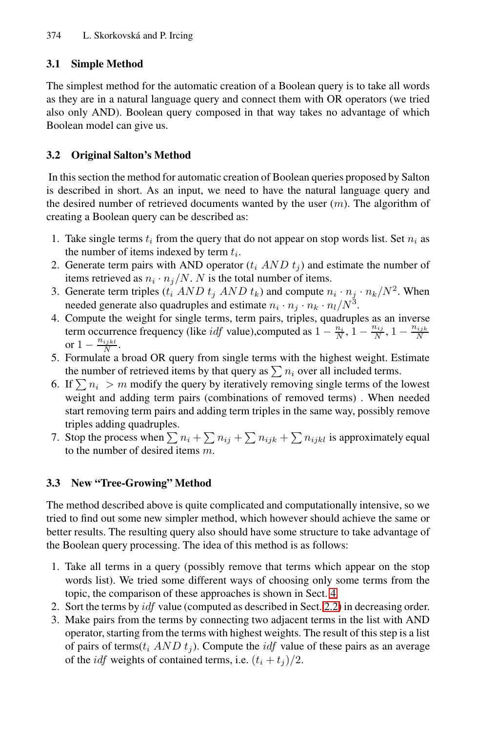#### **3.1 Simple Method**

The simplest method for the automatic creation of a Boolean query is to take all words as they are in a natural language query and connect them with OR operators (we tried also only AND). Boolean query composed in that way takes no advantage of which Boolean model can give us.

#### **3.2 Original Salton's Method**

In this section the method for automatic creation of Boolean queries proposed by Salton is described in short. As an input, we need to have the natural language query and the desired number of retrieved documents wanted by the user (*m*). The algorithm of creating a Boolean query can be described as:

- 1. Take single terms  $t_i$  from the query that do not appear on stop words list. Set  $n_i$  as the number of items indexed by term *ti*.
- 2. Generate term pairs with AND operator  $(t_i \, AND \, t_j)$  and estimate the number of items retrieved as  $n_i \cdot n_j/N$ . *N* is the total number of items.
- 3. Generate term triples  $(t_i \ AND \ t_j \ AND \ t_k)$  and compute  $n_i \cdot n_j \cdot n_k / N^2$ . When needed generate also quadruples and estimate  $n_i \cdot n_j \cdot n_k \cdot n_l/N^3$ .
- 4. Compute the weight for single terms, term pairs, triples, quadruples as an inverse term occurrence frequency (like *idf* value),computed as  $1 - \frac{n_i}{N}$ ,  $1 - \frac{n_{ij}}{N}$ ,  $1 - \frac{n_{ijk}}{N}$ or  $1 - \frac{n_{ijkl}}{N}$ .
- 5. Formulate a broad OR query from single terms with the highest weight. Estimate the number of retrieved items by that query as  $\sum n_i$  over all included terms.
- 6. If  $\sum n_i > m$  modify the query by iteratively removing single terms of the lowest weight and adding term pairs (combinations of removed terms) . When needed start removing term pairs and adding term triples in the same way, possibly remove triples adding quadruples.
- 7. Stop the process when  $\sum n_i + \sum n_{ij} + \sum n_{ijk} + \sum n_{ijkl}$  is approximately equal to the number of desired items *m*.

#### **3.3 New "Tree-Growing" Method**

The method described above is quite com[plica](#page-2-1)ted and computationally intensive, so we tried to find out some new simpler method, which however should achieve the same or better results. The resulting query also should have some structure to take advantage of the Boolean query processing. The idea of this method is as follows:

- 1. Take all terms in a query (possibly remove that terms which appear on the stop words list). We tried some different ways of choosing only some terms from the topic, the comparison of these approaches is shown in Sect. 4.
- 2. Sort the terms by *idf* value (computed as described in Sect. 2.2) in decreasing order.
- 3. Make pairs from the terms by connecting two adjacent terms in the list with AND operator, starting from the terms with highest weights. The result of this step is a list of pairs of terms( $t_i$   $AND$   $t_j$ ). Compute the *idf* value of these pairs as an average of the *idf* weights of contained terms, i.e.  $(t_i + t_j)/2$ .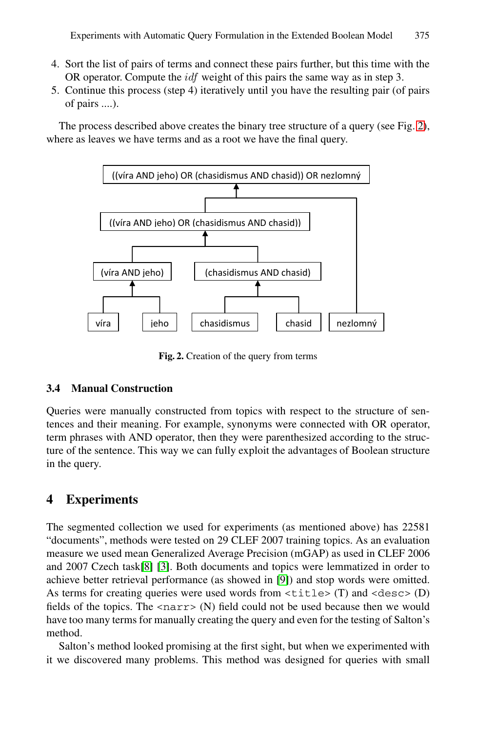- 4. Sort the list of pairs of terms and connect these pairs further, but this time with the OR operator. Compute the *idf* weight of this pairs the same way as in step 3.
- 5. Continue this process (step 4) iteratively until you have the resulting pair (of pairs of pairs ....).

The process described above creates the binary tree structure of a query (see Fig. 2), where as leaves we have terms and as a root we have the final query.



**Fig. 2.** Creation of the query from terms

#### **3.4 Manual Construction**

Queries were manually constructed from topics with respect to the structure of sentences and their meaning. For example, synonyms were connected with OR operator, term phrases with AND operator, then they were parenthesized according to the structure of the sentence. This way we can fully exploit the advantages of Boolean structure i[n t](#page-7-4)h[e q](#page-7-0)uery.

## **4 Experiments**

The segmented collection we used for experiments (as mentioned above) has 22581 "documents", methods were tested on 29 CLEF 2007 training topics. As an evaluation measure we used mean Generalized Average Precision (mGAP) as used in CLEF 2006 and 2007 Czech task[8] [3]. Both documents and topics were lemmatized in order to achieve better retrieval performance (as showed in [9]) and stop words were omitted. As terms for creating queries were used words from  $\tt *title* > (T)$  and  $\tt *desc* > (D)$ fields of the topics. The  $\langle$ narr $\rangle$  (N) field could not be used because then we would have too many terms for manually creating the query and even for the testing of Salton's method.

Salton's method looked promising at the first sight, but when we experimented with it we discovered many problems. This method was designed for queries with small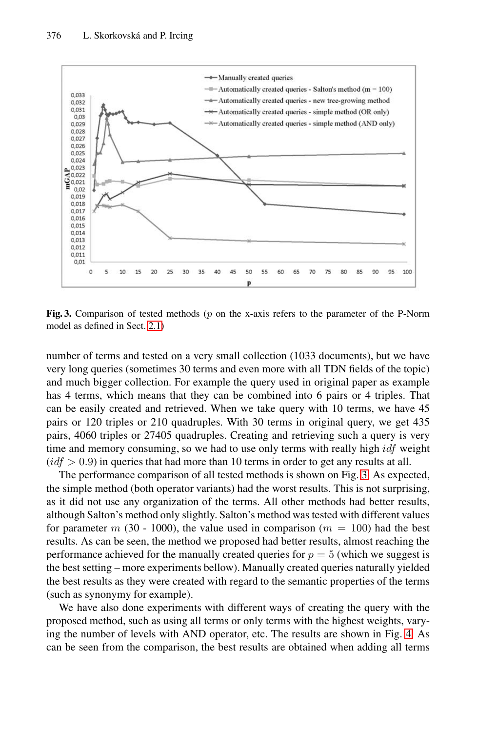

<span id="page-5-0"></span>**Fig. 3.** Comparison of tested methods (*p* on the x-axis refers to the parameter of the P-Norm model as defined in Sect. 2.1)

number of terms and tested on a very small collection (1033 documents), but we have very long queries (sometimes 30 terms and even [mor](#page-5-0)e with all TDN fields of the topic) and much bigger collection. For example the query used in original paper as example has 4 terms, which means that they can be combined into 6 pairs or 4 triples. That can be easily created and retrieved. When we take query with 10 terms, we have 45 pairs or 120 triples or 210 quadruples. With 30 terms in original query, we get 435 pairs, 4060 triples or 27405 quadruples. Creating and retrieving such a query is very time and memory consuming, so we had to use only terms with really high *idf* weight  $(id f > 0.9)$  in queries that had more than 10 terms in order to get any results at all.

The performance comparison of all tested methods is shown on Fig. 3. As expected, the simple method (both operator variants) had the worst results. This is not surprising, as it did not use any organization of the terms. All other methods had better results, although Salton's method only slightly. Salton's method was tested with different values for parameter  $m(30 - 1000)$ , the value used in comparison  $(m = 100)$  had the best results. As can be seen, the method we proposed had better results, almost reaching the performance achieved for the manually created queries for  $p = 5$  (which we suggest is the best setting – more experiments bellow). Manually created queries naturally yielded the best results as they were created with regard to the semantic properties of the terms (such as synonymy for example).

We have also done experiments with different ways of creating the query with the proposed method, such as using all terms or only terms with the highest weights, varying the number of levels with AND operator, etc. The results are shown in Fig. 4. As can be seen from the comparison, the best results are obtained when adding all terms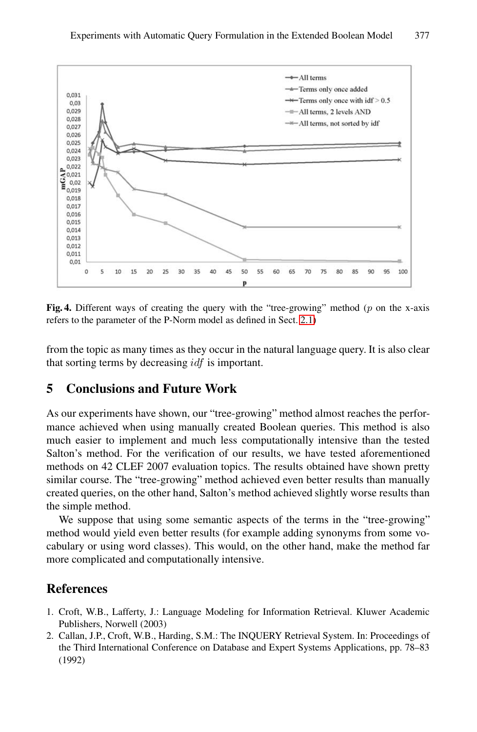

<span id="page-6-0"></span>**Fig. 4.** Different ways of creating the query with the "tree-growing" method (*p* on the x-axis refers to the parameter of the P-Norm model as defined in Sect. 2.1)

from the topic as many times as they occur in the natural language query. It is also clear that sorting terms by decreasing *idf* is important.

### **5 Conclusions and Future Work**

As our experiments have shown, our "tree-growing" method almost reaches the performance achieved when using manually created Boolean queries. This method is also much easier to implement and much less computationally intensive than the tested Salton's method. For the verification of our results, we have tested aforementioned methods on 42 CLEF 2007 evaluation topics. The results obtained have shown pretty similar course. The "tree-growing" method achieved even better results than manually created queries, on the other hand, Salton's method achieved slightly worse results than the simple method.

We suppose that using some semantic aspects of the terms in the "tree-growing" method would yield even better results (for example adding synonyms from some vocabulary or using word classes). This would, on the other hand, make the method far more complicated and computationally intensive.

### **References**

- 1. Croft, W.B., Lafferty, J.: Language Modeling for Information Retrieval. Kluwer Academic Publishers, Norwell (2003)
- 2. Callan, J.P., Croft, W.B., Harding, S.M.: The INQUERY Retrieval System. In: Proceedings of the Third International Conference on Database and Expert Systems Applications, pp. 78–83 (1992)